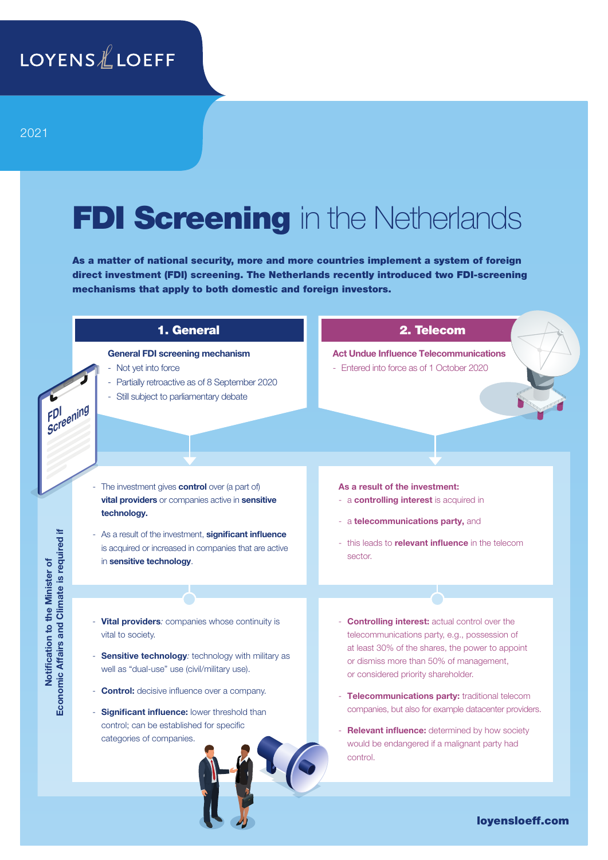# FDI Screening in the Netherlands

As a matter of national security, more and more countries implement a system of foreign direct investment (FDI) screening. The Netherlands recently introduced two FDI-screening mechanisms that apply to both domestic and foreign investors.



loyensloeff.com